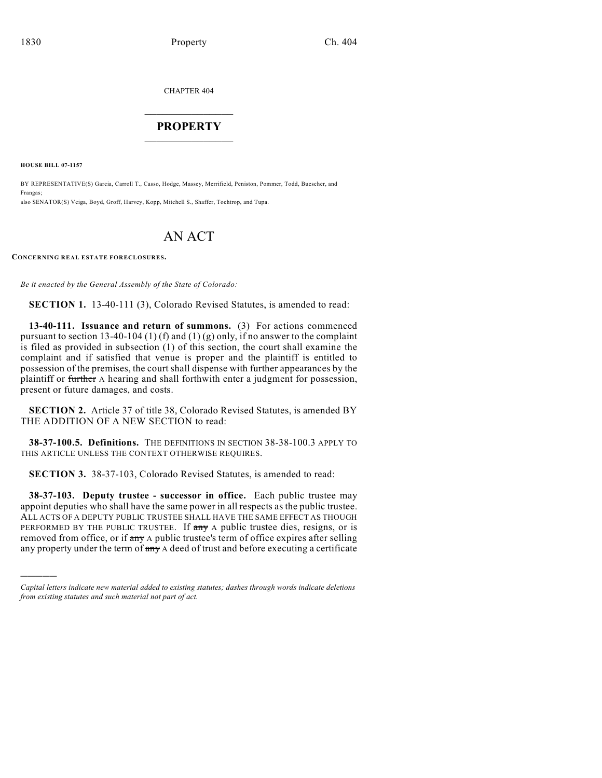CHAPTER 404

# $\mathcal{L}_\text{max}$  . The set of the set of the set of the set of the set of the set of the set of the set of the set of the set of the set of the set of the set of the set of the set of the set of the set of the set of the set **PROPERTY**  $\_$   $\_$   $\_$   $\_$   $\_$   $\_$   $\_$   $\_$   $\_$

**HOUSE BILL 07-1157**

)))))

BY REPRESENTATIVE(S) Garcia, Carroll T., Casso, Hodge, Massey, Merrifield, Peniston, Pommer, Todd, Buescher, and Frangas; also SENATOR(S) Veiga, Boyd, Groff, Harvey, Kopp, Mitchell S., Shaffer, Tochtrop, and Tupa.

# AN ACT

**CONCERNING REAL ESTATE FORECLOSURES.**

*Be it enacted by the General Assembly of the State of Colorado:*

**SECTION 1.** 13-40-111 (3), Colorado Revised Statutes, is amended to read:

**13-40-111. Issuance and return of summons.** (3) For actions commenced pursuant to section 13-40-104 (1) (f) and (1) (g) only, if no answer to the complaint is filed as provided in subsection (1) of this section, the court shall examine the complaint and if satisfied that venue is proper and the plaintiff is entitled to possession of the premises, the court shall dispense with further appearances by the plaintiff or further A hearing and shall forthwith enter a judgment for possession, present or future damages, and costs.

**SECTION 2.** Article 37 of title 38, Colorado Revised Statutes, is amended BY THE ADDITION OF A NEW SECTION to read:

**38-37-100.5. Definitions.** THE DEFINITIONS IN SECTION 38-38-100.3 APPLY TO THIS ARTICLE UNLESS THE CONTEXT OTHERWISE REQUIRES.

**SECTION 3.** 38-37-103, Colorado Revised Statutes, is amended to read:

**38-37-103. Deputy trustee - successor in office.** Each public trustee may appoint deputies who shall have the same power in all respects as the public trustee. ALL ACTS OF A DEPUTY PUBLIC TRUSTEE SHALL HAVE THE SAME EFFECT AS THOUGH PERFORMED BY THE PUBLIC TRUSTEE. If any A public trustee dies, resigns, or is removed from office, or if any A public trustee's term of office expires after selling any property under the term of any A deed of trust and before executing a certificate

*Capital letters indicate new material added to existing statutes; dashes through words indicate deletions from existing statutes and such material not part of act.*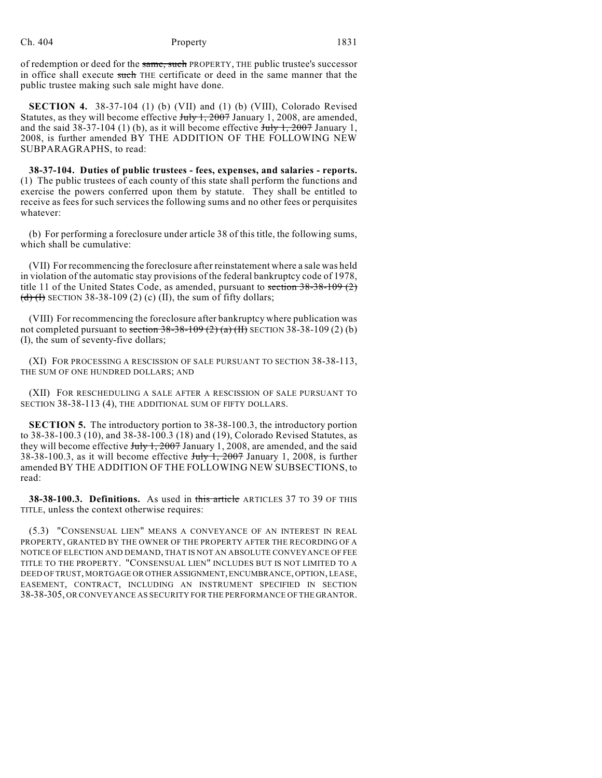of redemption or deed for the same, such PROPERTY, THE public trustee's successor in office shall execute such THE certificate or deed in the same manner that the public trustee making such sale might have done.

**SECTION 4.** 38-37-104 (1) (b) (VII) and (1) (b) (VIII), Colorado Revised Statutes, as they will become effective  $J_{\text{uly}}$  1, 2007 January 1, 2008, are amended, and the said  $38-37-104$  (1) (b), as it will become effective  $J_{\text{t}}$ ,  $\frac{1}{2007}$  January 1, 2008, is further amended BY THE ADDITION OF THE FOLLOWING NEW SUBPARAGRAPHS, to read:

**38-37-104. Duties of public trustees - fees, expenses, and salaries - reports.** (1) The public trustees of each county of this state shall perform the functions and exercise the powers conferred upon them by statute. They shall be entitled to receive as fees for such services the following sums and no other fees or perquisites whatever:

(b) For performing a foreclosure under article 38 of this title, the following sums, which shall be cumulative:

(VII) For recommencing the foreclosure after reinstatement where a sale was held in violation of the automatic stay provisions of the federal bankruptcy code of 1978, title 11 of the United States Code, as amended, pursuant to section 38-38-109 (2)  $\left(\frac{d}{d}\right)$  (H) SECTION 38-38-109 (2) (c) (II), the sum of fifty dollars;

(VIII) For recommencing the foreclosure after bankruptcy where publication was not completed pursuant to section  $38-38-109(2)(a)$  (II) SECTION 38-38-109 (2) (b) (I), the sum of seventy-five dollars;

(XI) FOR PROCESSING A RESCISSION OF SALE PURSUANT TO SECTION 38-38-113, THE SUM OF ONE HUNDRED DOLLARS; AND

(XII) FOR RESCHEDULING A SALE AFTER A RESCISSION OF SALE PURSUANT TO SECTION 38-38-113 (4), THE ADDITIONAL SUM OF FIFTY DOLLARS.

**SECTION 5.** The introductory portion to 38-38-100.3, the introductory portion to 38-38-100.3 (10), and 38-38-100.3 (18) and (19), Colorado Revised Statutes, as they will become effective  $J_{\text{uly}}$  1, 2007 January 1, 2008, are amended, and the said 38-38-100.3, as it will become effective  $J_{\text{t}}/J_{\text{t}}$ , 2007 January 1, 2008, is further amended BY THE ADDITION OF THE FOLLOWING NEW SUBSECTIONS, to read:

**38-38-100.3. Definitions.** As used in this article ARTICLES 37 TO 39 OF THIS TITLE, unless the context otherwise requires:

(5.3) "CONSENSUAL LIEN" MEANS A CONVEYANCE OF AN INTEREST IN REAL PROPERTY, GRANTED BY THE OWNER OF THE PROPERTY AFTER THE RECORDING OF A NOTICE OF ELECTION AND DEMAND, THAT IS NOT AN ABSOLUTE CONVEYANCE OF FEE TITLE TO THE PROPERTY. "CONSENSUAL LIEN" INCLUDES BUT IS NOT LIMITED TO A DEED OF TRUST, MORTGAGE OR OTHER ASSIGNMENT, ENCUMBRANCE, OPTION, LEASE, EASEMENT, CONTRACT, INCLUDING AN INSTRUMENT SPECIFIED IN SECTION 38-38-305, OR CONVEYANCE AS SECURITY FOR THE PERFORMANCE OF THE GRANTOR.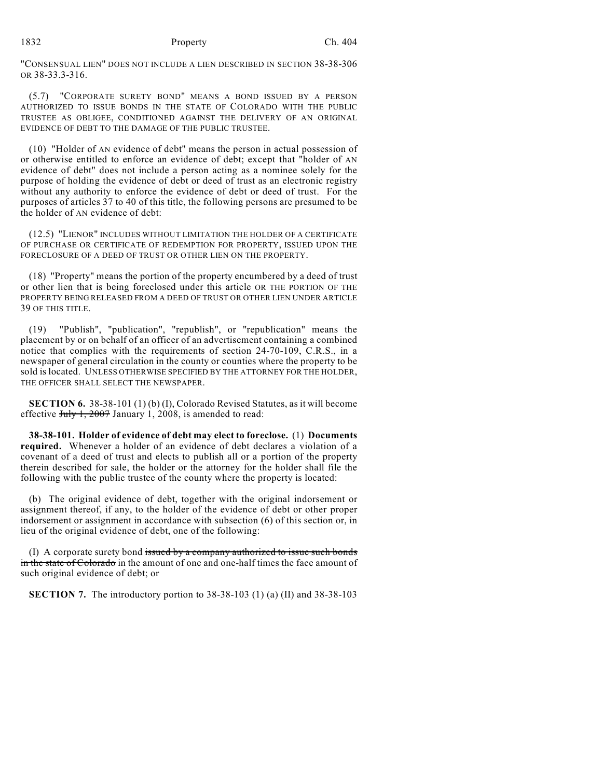"CONSENSUAL LIEN" DOES NOT INCLUDE A LIEN DESCRIBED IN SECTION 38-38-306 OR 38-33.3-316.

(5.7) "CORPORATE SURETY BOND" MEANS A BOND ISSUED BY A PERSON AUTHORIZED TO ISSUE BONDS IN THE STATE OF COLORADO WITH THE PUBLIC TRUSTEE AS OBLIGEE, CONDITIONED AGAINST THE DELIVERY OF AN ORIGINAL EVIDENCE OF DEBT TO THE DAMAGE OF THE PUBLIC TRUSTEE.

(10) "Holder of AN evidence of debt" means the person in actual possession of or otherwise entitled to enforce an evidence of debt; except that "holder of AN evidence of debt" does not include a person acting as a nominee solely for the purpose of holding the evidence of debt or deed of trust as an electronic registry without any authority to enforce the evidence of debt or deed of trust. For the purposes of articles 37 to 40 of this title, the following persons are presumed to be the holder of AN evidence of debt:

(12.5) "LIENOR" INCLUDES WITHOUT LIMITATION THE HOLDER OF A CERTIFICATE OF PURCHASE OR CERTIFICATE OF REDEMPTION FOR PROPERTY, ISSUED UPON THE FORECLOSURE OF A DEED OF TRUST OR OTHER LIEN ON THE PROPERTY.

(18) "Property" means the portion of the property encumbered by a deed of trust or other lien that is being foreclosed under this article OR THE PORTION OF THE PROPERTY BEING RELEASED FROM A DEED OF TRUST OR OTHER LIEN UNDER ARTICLE 39 OF THIS TITLE.

(19) "Publish", "publication", "republish", or "republication" means the placement by or on behalf of an officer of an advertisement containing a combined notice that complies with the requirements of section 24-70-109, C.R.S., in a newspaper of general circulation in the county or counties where the property to be sold is located. UNLESS OTHERWISE SPECIFIED BY THE ATTORNEY FOR THE HOLDER, THE OFFICER SHALL SELECT THE NEWSPAPER.

**SECTION 6.** 38-38-101 (1) (b) (I), Colorado Revised Statutes, as it will become effective  $J_{\text{uly}}$  1, 2007 January 1, 2008, is amended to read:

**38-38-101. Holder of evidence of debt may elect to foreclose.** (1) **Documents required.** Whenever a holder of an evidence of debt declares a violation of a covenant of a deed of trust and elects to publish all or a portion of the property therein described for sale, the holder or the attorney for the holder shall file the following with the public trustee of the county where the property is located:

(b) The original evidence of debt, together with the original indorsement or assignment thereof, if any, to the holder of the evidence of debt or other proper indorsement or assignment in accordance with subsection (6) of this section or, in lieu of the original evidence of debt, one of the following:

(I) A corporate surety bond issued by a company authorized to issue such bonds in the state of Colorado in the amount of one and one-half times the face amount of such original evidence of debt; or

**SECTION 7.** The introductory portion to 38-38-103 (1) (a) (II) and 38-38-103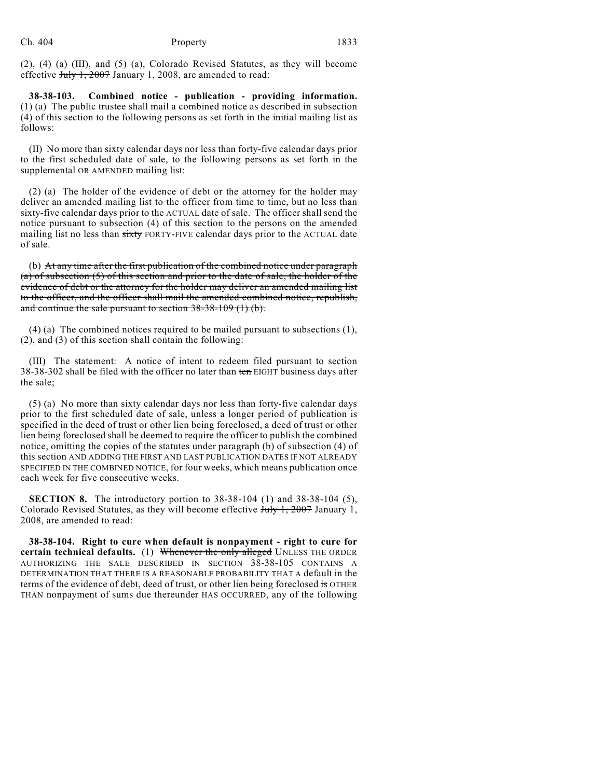(2), (4) (a) (III), and (5) (a), Colorado Revised Statutes, as they will become effective July 1, 2007 January 1, 2008, are amended to read:

**38-38-103. Combined notice - publication - providing information.** (1) (a) The public trustee shall mail a combined notice as described in subsection (4) of this section to the following persons as set forth in the initial mailing list as follows:

(II) No more than sixty calendar days nor less than forty-five calendar days prior to the first scheduled date of sale, to the following persons as set forth in the supplemental OR AMENDED mailing list:

(2) (a) The holder of the evidence of debt or the attorney for the holder may deliver an amended mailing list to the officer from time to time, but no less than sixty-five calendar days prior to the ACTUAL date of sale. The officer shall send the notice pursuant to subsection (4) of this section to the persons on the amended mailing list no less than sixty FORTY-FIVE calendar days prior to the ACTUAL date of sale.

(b) At any time after the first publication of the combined notice under paragraph (a) of subsection (5) of this section and prior to the date of sale, the holder of the evidence of debt or the attorney for the holder may deliver an amended mailing list to the officer, and the officer shall mail the amended combined notice, republish, and continue the sale pursuant to section 38-38-109 (1) (b).

(4) (a) The combined notices required to be mailed pursuant to subsections (1), (2), and (3) of this section shall contain the following:

(III) The statement: A notice of intent to redeem filed pursuant to section 38-38-302 shall be filed with the officer no later than ten EIGHT business days after the sale;

(5) (a) No more than sixty calendar days nor less than forty-five calendar days prior to the first scheduled date of sale, unless a longer period of publication is specified in the deed of trust or other lien being foreclosed, a deed of trust or other lien being foreclosed shall be deemed to require the officer to publish the combined notice, omitting the copies of the statutes under paragraph (b) of subsection (4) of this section AND ADDING THE FIRST AND LAST PUBLICATION DATES IF NOT ALREADY SPECIFIED IN THE COMBINED NOTICE, for four weeks, which means publication once each week for five consecutive weeks.

**SECTION 8.** The introductory portion to 38-38-104 (1) and 38-38-104 (5), Colorado Revised Statutes, as they will become effective July 1, 2007 January 1, 2008, are amended to read:

**38-38-104. Right to cure when default is nonpayment - right to cure for certain technical defaults.** (1) Whenever the only alleged UNLESS THE ORDER AUTHORIZING THE SALE DESCRIBED IN SECTION 38-38-105 CONTAINS A DETERMINATION THAT THERE IS A REASONABLE PROBABILITY THAT A default in the terms of the evidence of debt, deed of trust, or other lien being foreclosed is OTHER THAN nonpayment of sums due thereunder HAS OCCURRED, any of the following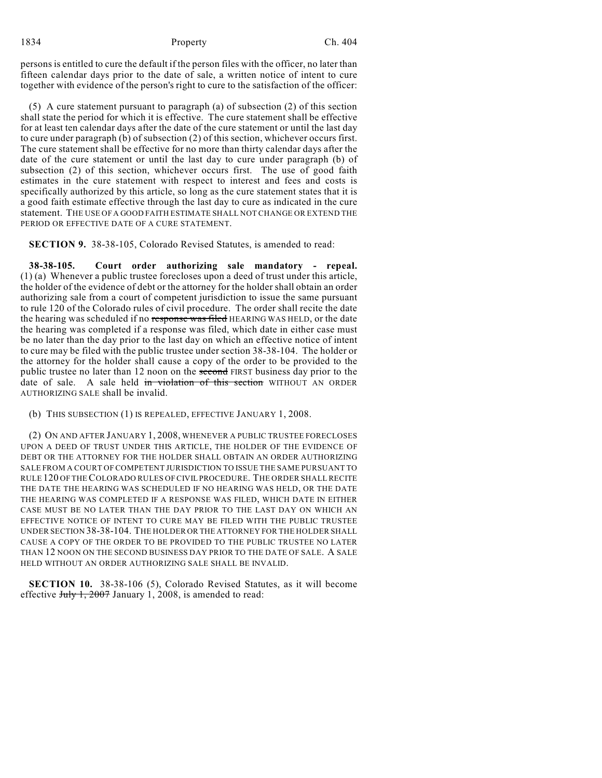persons is entitled to cure the default if the person files with the officer, no later than fifteen calendar days prior to the date of sale, a written notice of intent to cure together with evidence of the person's right to cure to the satisfaction of the officer:

(5) A cure statement pursuant to paragraph (a) of subsection (2) of this section shall state the period for which it is effective. The cure statement shall be effective for at least ten calendar days after the date of the cure statement or until the last day to cure under paragraph (b) of subsection (2) of this section, whichever occurs first. The cure statement shall be effective for no more than thirty calendar days after the date of the cure statement or until the last day to cure under paragraph (b) of subsection (2) of this section, whichever occurs first. The use of good faith estimates in the cure statement with respect to interest and fees and costs is specifically authorized by this article, so long as the cure statement states that it is a good faith estimate effective through the last day to cure as indicated in the cure statement. THE USE OF A GOOD FAITH ESTIMATE SHALL NOT CHANGE OR EXTEND THE PERIOD OR EFFECTIVE DATE OF A CURE STATEMENT.

**SECTION 9.** 38-38-105, Colorado Revised Statutes, is amended to read:

**38-38-105. Court order authorizing sale mandatory - repeal.** (1) (a) Whenever a public trustee forecloses upon a deed of trust under this article, the holder of the evidence of debt or the attorney for the holder shall obtain an order authorizing sale from a court of competent jurisdiction to issue the same pursuant to rule 120 of the Colorado rules of civil procedure. The order shall recite the date the hearing was scheduled if no response was filed HEARING WAS HELD, or the date the hearing was completed if a response was filed, which date in either case must be no later than the day prior to the last day on which an effective notice of intent to cure may be filed with the public trustee under section 38-38-104. The holder or the attorney for the holder shall cause a copy of the order to be provided to the public trustee no later than 12 noon on the second FIRST business day prior to the date of sale. A sale held in violation of this section WITHOUT AN ORDER AUTHORIZING SALE shall be invalid.

(b) THIS SUBSECTION (1) IS REPEALED, EFFECTIVE JANUARY 1, 2008.

(2) ON AND AFTER JANUARY 1, 2008, WHENEVER A PUBLIC TRUSTEE FORECLOSES UPON A DEED OF TRUST UNDER THIS ARTICLE, THE HOLDER OF THE EVIDENCE OF DEBT OR THE ATTORNEY FOR THE HOLDER SHALL OBTAIN AN ORDER AUTHORIZING SALE FROM A COURT OF COMPETENT JURISDICTION TO ISSUE THE SAME PURSUANT TO RULE 120 OF THE COLORADO RULES OF CIVIL PROCEDURE. THE ORDER SHALL RECITE THE DATE THE HEARING WAS SCHEDULED IF NO HEARING WAS HELD, OR THE DATE THE HEARING WAS COMPLETED IF A RESPONSE WAS FILED, WHICH DATE IN EITHER CASE MUST BE NO LATER THAN THE DAY PRIOR TO THE LAST DAY ON WHICH AN EFFECTIVE NOTICE OF INTENT TO CURE MAY BE FILED WITH THE PUBLIC TRUSTEE UNDER SECTION 38-38-104. THE HOLDER OR THE ATTORNEY FOR THE HOLDER SHALL CAUSE A COPY OF THE ORDER TO BE PROVIDED TO THE PUBLIC TRUSTEE NO LATER THAN 12 NOON ON THE SECOND BUSINESS DAY PRIOR TO THE DATE OF SALE. A SALE HELD WITHOUT AN ORDER AUTHORIZING SALE SHALL BE INVALID.

**SECTION 10.** 38-38-106 (5), Colorado Revised Statutes, as it will become effective  $J_{\text{uly}}$  1, 2007 January 1, 2008, is amended to read: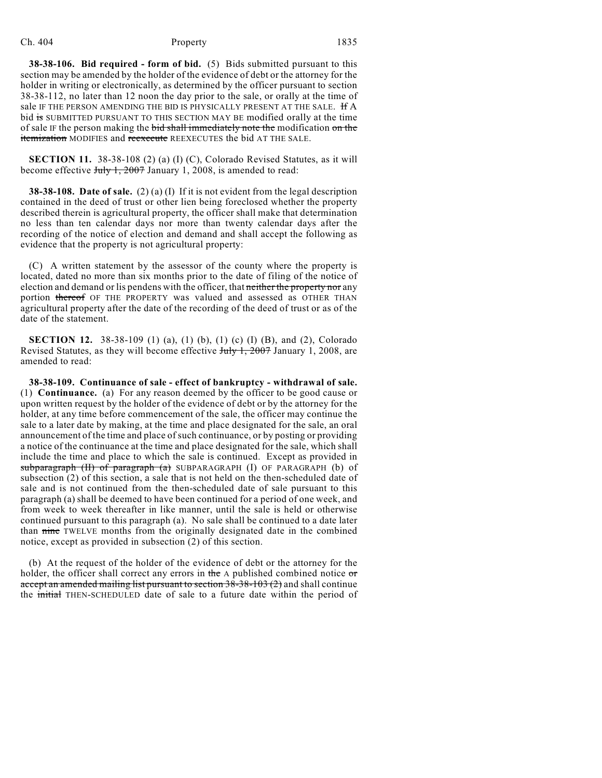**38-38-106. Bid required - form of bid.** (5) Bids submitted pursuant to this section may be amended by the holder of the evidence of debt or the attorney for the holder in writing or electronically, as determined by the officer pursuant to section 38-38-112, no later than 12 noon the day prior to the sale, or orally at the time of sale IF THE PERSON AMENDING THE BID IS PHYSICALLY PRESENT AT THE SALE. HA bid is SUBMITTED PURSUANT TO THIS SECTION MAY BE modified orally at the time of sale IF the person making the bid shall immediately note the modification on the itemization MODIFIES and reexecute REEXECUTES the bid AT THE SALE.

**SECTION 11.** 38-38-108 (2) (a) (I) (C), Colorado Revised Statutes, as it will become effective  $J_{\text{uly}}$  1, 2007 January 1, 2008, is amended to read:

**38-38-108. Date of sale.** (2) (a) (I) If it is not evident from the legal description contained in the deed of trust or other lien being foreclosed whether the property described therein is agricultural property, the officer shall make that determination no less than ten calendar days nor more than twenty calendar days after the recording of the notice of election and demand and shall accept the following as evidence that the property is not agricultural property:

(C) A written statement by the assessor of the county where the property is located, dated no more than six months prior to the date of filing of the notice of election and demand or lis pendens with the officer, that neither the property nor any portion thereof OF THE PROPERTY was valued and assessed as OTHER THAN agricultural property after the date of the recording of the deed of trust or as of the date of the statement.

**SECTION 12.** 38-38-109 (1) (a), (1) (b), (1) (c) (I) (B), and (2), Colorado Revised Statutes, as they will become effective July 1, 2007 January 1, 2008, are amended to read:

**38-38-109. Continuance of sale - effect of bankruptcy - withdrawal of sale.** (1) **Continuance.** (a) For any reason deemed by the officer to be good cause or upon written request by the holder of the evidence of debt or by the attorney for the holder, at any time before commencement of the sale, the officer may continue the sale to a later date by making, at the time and place designated for the sale, an oral announcement of the time and place of such continuance, or by posting or providing a notice of the continuance at the time and place designated for the sale, which shall include the time and place to which the sale is continued. Except as provided in subparagraph (II) of paragraph (a) SUBPARAGRAPH (I) OF PARAGRAPH (b) of subsection (2) of this section, a sale that is not held on the then-scheduled date of sale and is not continued from the then-scheduled date of sale pursuant to this paragraph (a) shall be deemed to have been continued for a period of one week, and from week to week thereafter in like manner, until the sale is held or otherwise continued pursuant to this paragraph (a). No sale shall be continued to a date later than nine TWELVE months from the originally designated date in the combined notice, except as provided in subsection (2) of this section.

(b) At the request of the holder of the evidence of debt or the attorney for the holder, the officer shall correct any errors in the  $\Delta$  published combined notice or accept an amended mailing list pursuant to section  $38-38-103(2)$  and shall continue the initial THEN-SCHEDULED date of sale to a future date within the period of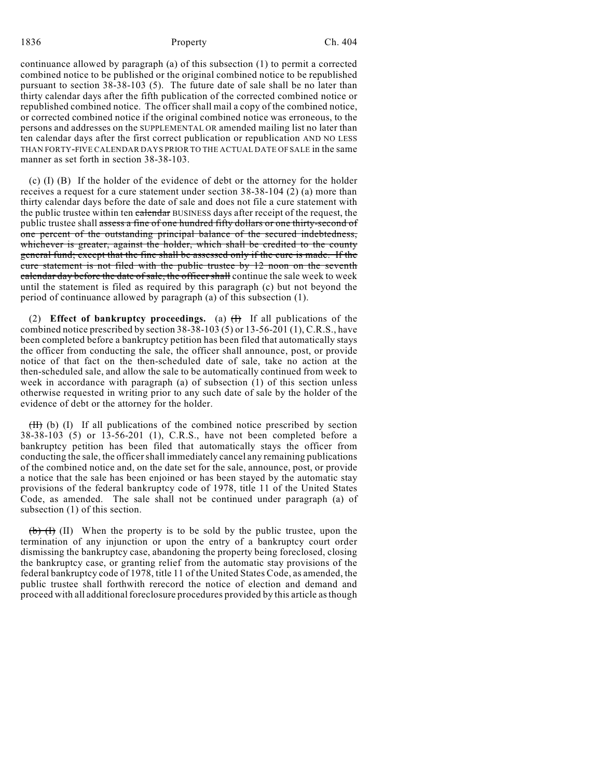continuance allowed by paragraph (a) of this subsection (1) to permit a corrected combined notice to be published or the original combined notice to be republished pursuant to section 38-38-103 (5). The future date of sale shall be no later than thirty calendar days after the fifth publication of the corrected combined notice or republished combined notice. The officer shall mail a copy of the combined notice, or corrected combined notice if the original combined notice was erroneous, to the persons and addresses on the SUPPLEMENTAL OR amended mailing list no later than ten calendar days after the first correct publication or republication AND NO LESS THAN FORTY-FIVE CALENDAR DAYS PRIOR TO THE ACTUAL DATE OF SALE in the same manner as set forth in section 38-38-103.

(c) (I) (B) If the holder of the evidence of debt or the attorney for the holder receives a request for a cure statement under section 38-38-104 (2) (a) more than thirty calendar days before the date of sale and does not file a cure statement with the public trustee within ten calendar BUSINESS days after receipt of the request, the public trustee shall assess a fine of one hundred fifty dollars or one thirty-second of one percent of the outstanding principal balance of the secured indebtedness, whichever is greater, against the holder, which shall be credited to the county general fund; except that the fine shall be assessed only if the cure is made. If the cure statement is not filed with the public trustee by 12 noon on the seventh calendar day before the date of sale, the officer shall continue the sale week to week until the statement is filed as required by this paragraph (c) but not beyond the period of continuance allowed by paragraph (a) of this subsection (1).

(2) **Effect of bankruptcy proceedings.** (a) (I) If all publications of the combined notice prescribed by section 38-38-103 (5) or 13-56-201 (1), C.R.S., have been completed before a bankruptcy petition has been filed that automatically stays the officer from conducting the sale, the officer shall announce, post, or provide notice of that fact on the then-scheduled date of sale, take no action at the then-scheduled sale, and allow the sale to be automatically continued from week to week in accordance with paragraph (a) of subsection (1) of this section unless otherwise requested in writing prior to any such date of sale by the holder of the evidence of debt or the attorney for the holder.

 $(H)$  (b) (I) If all publications of the combined notice prescribed by section 38-38-103 (5) or 13-56-201 (1), C.R.S., have not been completed before a bankruptcy petition has been filed that automatically stays the officer from conducting the sale, the officer shall immediately cancel any remaining publications of the combined notice and, on the date set for the sale, announce, post, or provide a notice that the sale has been enjoined or has been stayed by the automatic stay provisions of the federal bankruptcy code of 1978, title 11 of the United States Code, as amended. The sale shall not be continued under paragraph (a) of subsection (1) of this section.

 $(b)$  (I) When the property is to be sold by the public trustee, upon the termination of any injunction or upon the entry of a bankruptcy court order dismissing the bankruptcy case, abandoning the property being foreclosed, closing the bankruptcy case, or granting relief from the automatic stay provisions of the federal bankruptcy code of 1978, title 11 of the United States Code, as amended, the public trustee shall forthwith rerecord the notice of election and demand and proceed with all additional foreclosure procedures provided by this article as though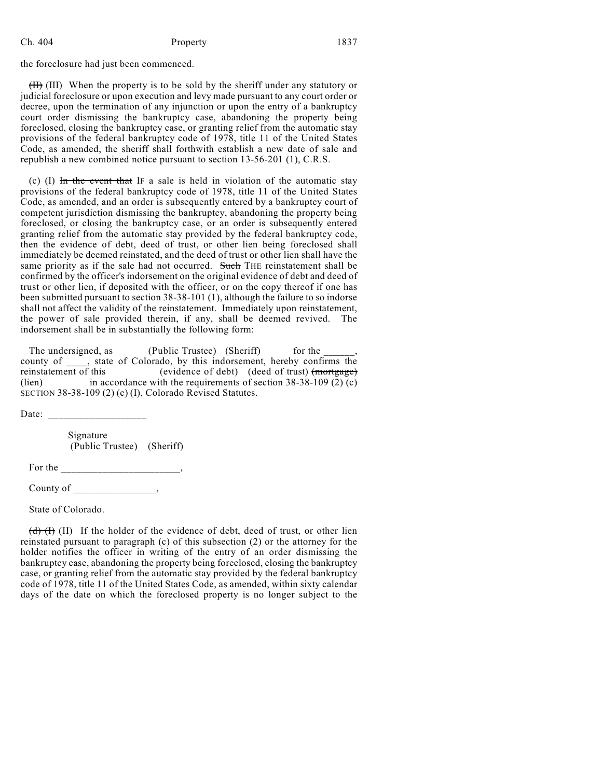the foreclosure had just been commenced.

(II) (III) When the property is to be sold by the sheriff under any statutory or judicial foreclosure or upon execution and levy made pursuant to any court order or decree, upon the termination of any injunction or upon the entry of a bankruptcy court order dismissing the bankruptcy case, abandoning the property being foreclosed, closing the bankruptcy case, or granting relief from the automatic stay provisions of the federal bankruptcy code of 1978, title 11 of the United States Code, as amended, the sheriff shall forthwith establish a new date of sale and republish a new combined notice pursuant to section 13-56-201 (1), C.R.S.

(c) (I)  $\overline{m}$  the event that IF a sale is held in violation of the automatic stay provisions of the federal bankruptcy code of 1978, title 11 of the United States Code, as amended, and an order is subsequently entered by a bankruptcy court of competent jurisdiction dismissing the bankruptcy, abandoning the property being foreclosed, or closing the bankruptcy case, or an order is subsequently entered granting relief from the automatic stay provided by the federal bankruptcy code, then the evidence of debt, deed of trust, or other lien being foreclosed shall immediately be deemed reinstated, and the deed of trust or other lien shall have the same priority as if the sale had not occurred. Such THE reinstatement shall be confirmed by the officer's indorsement on the original evidence of debt and deed of trust or other lien, if deposited with the officer, or on the copy thereof if one has been submitted pursuant to section 38-38-101 (1), although the failure to so indorse shall not affect the validity of the reinstatement. Immediately upon reinstatement, the power of sale provided therein, if any, shall be deemed revived. The indorsement shall be in substantially the following form:

The undersigned, as (Public Trustee) (Sheriff) for the county of \_\_\_\_, state of Colorado, by this indorsement, hereby confirms the reinstatement of this (evidence of debt) (deed of trust) (mortgage) (lien) in accordance with the requirements of section  $38-38-109(2)$  (c) in accordance with the requirements of section  $38-38-109$  (2) (c) SECTION 38-38-109 (2) (c) (I), Colorado Revised Statutes.

Date: \_\_\_\_\_\_\_\_\_\_\_\_\_\_\_\_\_\_\_

 Signature (Public Trustee) (Sheriff)

For the \_\_\_\_\_\_\_\_\_\_\_\_\_\_\_\_\_\_\_\_\_\_\_,

County of the country of the country of the country of  $\sim$ 

State of Colorado.

 $(d)$  (I) If the holder of the evidence of debt, deed of trust, or other lien reinstated pursuant to paragraph (c) of this subsection (2) or the attorney for the holder notifies the officer in writing of the entry of an order dismissing the bankruptcy case, abandoning the property being foreclosed, closing the bankruptcy case, or granting relief from the automatic stay provided by the federal bankruptcy code of 1978, title 11 of the United States Code, as amended, within sixty calendar days of the date on which the foreclosed property is no longer subject to the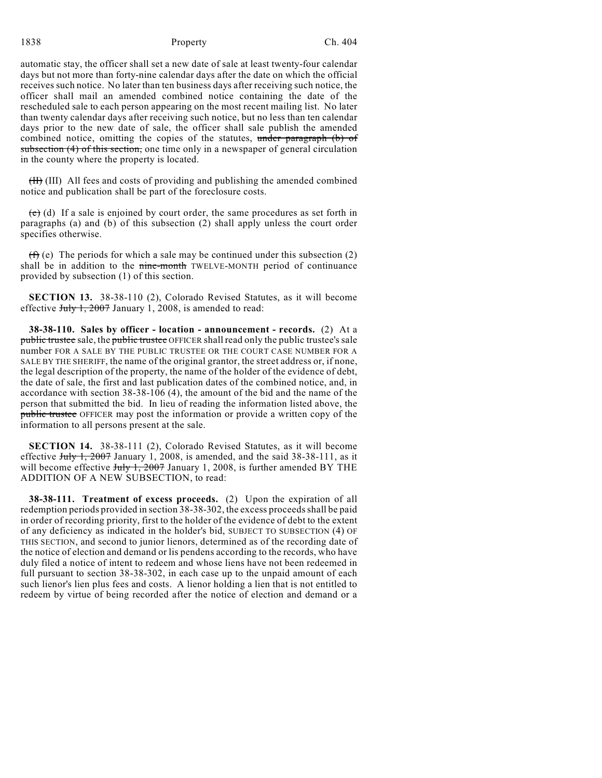automatic stay, the officer shall set a new date of sale at least twenty-four calendar days but not more than forty-nine calendar days after the date on which the official receives such notice. No later than ten business days after receiving such notice, the officer shall mail an amended combined notice containing the date of the rescheduled sale to each person appearing on the most recent mailing list. No later than twenty calendar days after receiving such notice, but no less than ten calendar days prior to the new date of sale, the officer shall sale publish the amended combined notice, omitting the copies of the statutes, under paragraph (b) of subsection (4) of this section, one time only in a newspaper of general circulation in the county where the property is located.

(II) (III) All fees and costs of providing and publishing the amended combined notice and publication shall be part of the foreclosure costs.

 $(e)$  (d) If a sale is enjoined by court order, the same procedures as set forth in paragraphs (a) and (b) of this subsection (2) shall apply unless the court order specifies otherwise.

 $(f)$  (e) The periods for which a sale may be continued under this subsection (2) shall be in addition to the nine-month TWELVE-MONTH period of continuance provided by subsection (1) of this section.

**SECTION 13.** 38-38-110 (2), Colorado Revised Statutes, as it will become effective  $J_{\text{uly}}$  1, 2007 January 1, 2008, is amended to read:

**38-38-110. Sales by officer - location - announcement - records.** (2) At a public trustee sale, the public trustee OFFICER shall read only the public trustee's sale number FOR A SALE BY THE PUBLIC TRUSTEE OR THE COURT CASE NUMBER FOR A SALE BY THE SHERIFF, the name of the original grantor, the street address or, if none, the legal description of the property, the name of the holder of the evidence of debt, the date of sale, the first and last publication dates of the combined notice, and, in accordance with section 38-38-106 (4), the amount of the bid and the name of the person that submitted the bid. In lieu of reading the information listed above, the public trustee OFFICER may post the information or provide a written copy of the information to all persons present at the sale.

**SECTION 14.** 38-38-111 (2), Colorado Revised Statutes, as it will become effective  $July 1, 2007$  January 1, 2008, is amended, and the said 38-38-111, as it will become effective  $J_{\text{uly}}$  1, 2007 January 1, 2008, is further amended BY THE ADDITION OF A NEW SUBSECTION, to read:

**38-38-111. Treatment of excess proceeds.** (2) Upon the expiration of all redemption periods provided in section 38-38-302, the excess proceeds shall be paid in order of recording priority, first to the holder of the evidence of debt to the extent of any deficiency as indicated in the holder's bid, SUBJECT TO SUBSECTION (4) OF THIS SECTION, and second to junior lienors, determined as of the recording date of the notice of election and demand or lis pendens according to the records, who have duly filed a notice of intent to redeem and whose liens have not been redeemed in full pursuant to section 38-38-302, in each case up to the unpaid amount of each such lienor's lien plus fees and costs. A lienor holding a lien that is not entitled to redeem by virtue of being recorded after the notice of election and demand or a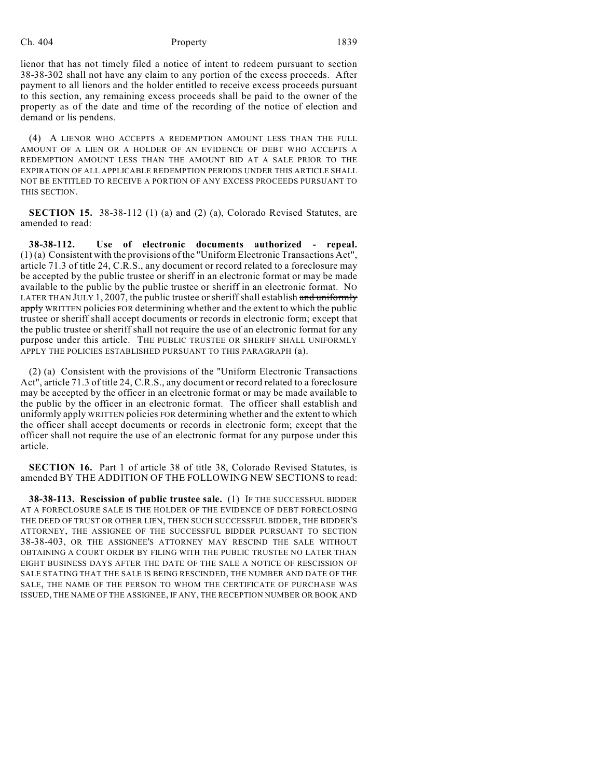lienor that has not timely filed a notice of intent to redeem pursuant to section 38-38-302 shall not have any claim to any portion of the excess proceeds. After payment to all lienors and the holder entitled to receive excess proceeds pursuant to this section, any remaining excess proceeds shall be paid to the owner of the property as of the date and time of the recording of the notice of election and demand or lis pendens.

(4) A LIENOR WHO ACCEPTS A REDEMPTION AMOUNT LESS THAN THE FULL AMOUNT OF A LIEN OR A HOLDER OF AN EVIDENCE OF DEBT WHO ACCEPTS A REDEMPTION AMOUNT LESS THAN THE AMOUNT BID AT A SALE PRIOR TO THE EXPIRATION OF ALL APPLICABLE REDEMPTION PERIODS UNDER THIS ARTICLE SHALL NOT BE ENTITLED TO RECEIVE A PORTION OF ANY EXCESS PROCEEDS PURSUANT TO THIS SECTION.

**SECTION 15.** 38-38-112 (1) (a) and (2) (a), Colorado Revised Statutes, are amended to read:

**38-38-112. Use of electronic documents authorized - repeal.** (1) (a) Consistent with the provisions of the "Uniform Electronic Transactions Act", article 71.3 of title 24, C.R.S., any document or record related to a foreclosure may be accepted by the public trustee or sheriff in an electronic format or may be made available to the public by the public trustee or sheriff in an electronic format. NO LATER THAN JULY 1, 2007, the public trustee or sheriff shall establish and uniformly apply WRITTEN policies FOR determining whether and the extent to which the public trustee or sheriff shall accept documents or records in electronic form; except that the public trustee or sheriff shall not require the use of an electronic format for any purpose under this article. THE PUBLIC TRUSTEE OR SHERIFF SHALL UNIFORMLY APPLY THE POLICIES ESTABLISHED PURSUANT TO THIS PARAGRAPH (a).

(2) (a) Consistent with the provisions of the "Uniform Electronic Transactions Act", article 71.3 of title 24, C.R.S., any document or record related to a foreclosure may be accepted by the officer in an electronic format or may be made available to the public by the officer in an electronic format. The officer shall establish and uniformly apply WRITTEN policies FOR determining whether and the extent to which the officer shall accept documents or records in electronic form; except that the officer shall not require the use of an electronic format for any purpose under this article.

**SECTION 16.** Part 1 of article 38 of title 38, Colorado Revised Statutes, is amended BY THE ADDITION OF THE FOLLOWING NEW SECTIONS to read:

**38-38-113. Rescission of public trustee sale.** (1) IF THE SUCCESSFUL BIDDER AT A FORECLOSURE SALE IS THE HOLDER OF THE EVIDENCE OF DEBT FORECLOSING THE DEED OF TRUST OR OTHER LIEN, THEN SUCH SUCCESSFUL BIDDER, THE BIDDER'S ATTORNEY, THE ASSIGNEE OF THE SUCCESSFUL BIDDER PURSUANT TO SECTION 38-38-403, OR THE ASSIGNEE'S ATTORNEY MAY RESCIND THE SALE WITHOUT OBTAINING A COURT ORDER BY FILING WITH THE PUBLIC TRUSTEE NO LATER THAN EIGHT BUSINESS DAYS AFTER THE DATE OF THE SALE A NOTICE OF RESCISSION OF SALE STATING THAT THE SALE IS BEING RESCINDED, THE NUMBER AND DATE OF THE SALE, THE NAME OF THE PERSON TO WHOM THE CERTIFICATE OF PURCHASE WAS ISSUED, THE NAME OF THE ASSIGNEE, IF ANY, THE RECEPTION NUMBER OR BOOK AND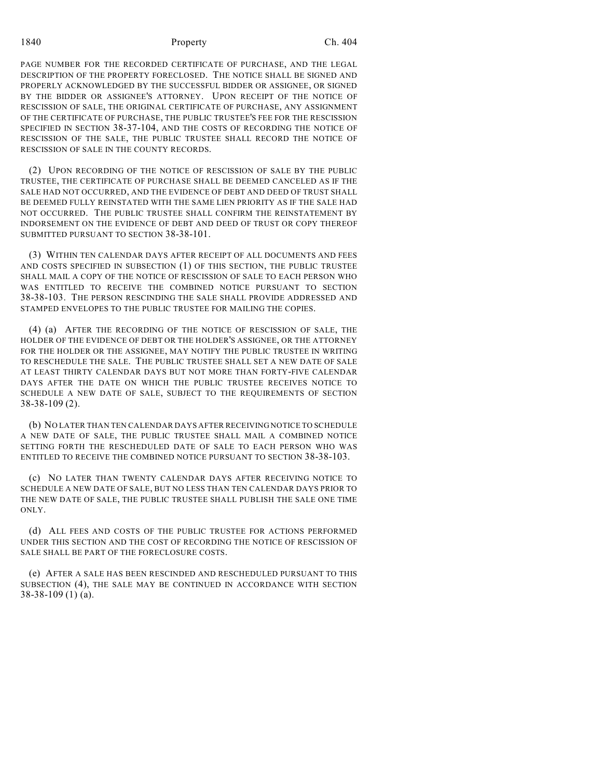PAGE NUMBER FOR THE RECORDED CERTIFICATE OF PURCHASE, AND THE LEGAL DESCRIPTION OF THE PROPERTY FORECLOSED. THE NOTICE SHALL BE SIGNED AND PROPERLY ACKNOWLEDGED BY THE SUCCESSFUL BIDDER OR ASSIGNEE, OR SIGNED BY THE BIDDER OR ASSIGNEE'S ATTORNEY. UPON RECEIPT OF THE NOTICE OF RESCISSION OF SALE, THE ORIGINAL CERTIFICATE OF PURCHASE, ANY ASSIGNMENT OF THE CERTIFICATE OF PURCHASE, THE PUBLIC TRUSTEE'S FEE FOR THE RESCISSION SPECIFIED IN SECTION 38-37-104, AND THE COSTS OF RECORDING THE NOTICE OF RESCISSION OF THE SALE, THE PUBLIC TRUSTEE SHALL RECORD THE NOTICE OF RESCISSION OF SALE IN THE COUNTY RECORDS.

(2) UPON RECORDING OF THE NOTICE OF RESCISSION OF SALE BY THE PUBLIC TRUSTEE, THE CERTIFICATE OF PURCHASE SHALL BE DEEMED CANCELED AS IF THE SALE HAD NOT OCCURRED, AND THE EVIDENCE OF DEBT AND DEED OF TRUST SHALL BE DEEMED FULLY REINSTATED WITH THE SAME LIEN PRIORITY AS IF THE SALE HAD NOT OCCURRED. THE PUBLIC TRUSTEE SHALL CONFIRM THE REINSTATEMENT BY INDORSEMENT ON THE EVIDENCE OF DEBT AND DEED OF TRUST OR COPY THEREOF SUBMITTED PURSUANT TO SECTION 38-38-101.

(3) WITHIN TEN CALENDAR DAYS AFTER RECEIPT OF ALL DOCUMENTS AND FEES AND COSTS SPECIFIED IN SUBSECTION (1) OF THIS SECTION, THE PUBLIC TRUSTEE SHALL MAIL A COPY OF THE NOTICE OF RESCISSION OF SALE TO EACH PERSON WHO WAS ENTITLED TO RECEIVE THE COMBINED NOTICE PURSUANT TO SECTION 38-38-103. THE PERSON RESCINDING THE SALE SHALL PROVIDE ADDRESSED AND STAMPED ENVELOPES TO THE PUBLIC TRUSTEE FOR MAILING THE COPIES.

(4) (a) AFTER THE RECORDING OF THE NOTICE OF RESCISSION OF SALE, THE HOLDER OF THE EVIDENCE OF DEBT OR THE HOLDER'S ASSIGNEE, OR THE ATTORNEY FOR THE HOLDER OR THE ASSIGNEE, MAY NOTIFY THE PUBLIC TRUSTEE IN WRITING TO RESCHEDULE THE SALE. THE PUBLIC TRUSTEE SHALL SET A NEW DATE OF SALE AT LEAST THIRTY CALENDAR DAYS BUT NOT MORE THAN FORTY-FIVE CALENDAR DAYS AFTER THE DATE ON WHICH THE PUBLIC TRUSTEE RECEIVES NOTICE TO SCHEDULE A NEW DATE OF SALE, SUBJECT TO THE REQUIREMENTS OF SECTION 38-38-109 (2).

(b) NO LATER THAN TEN CALENDAR DAYS AFTER RECEIVING NOTICE TO SCHEDULE A NEW DATE OF SALE, THE PUBLIC TRUSTEE SHALL MAIL A COMBINED NOTICE SETTING FORTH THE RESCHEDULED DATE OF SALE TO EACH PERSON WHO WAS ENTITLED TO RECEIVE THE COMBINED NOTICE PURSUANT TO SECTION 38-38-103.

(c) NO LATER THAN TWENTY CALENDAR DAYS AFTER RECEIVING NOTICE TO SCHEDULE A NEW DATE OF SALE, BUT NO LESS THAN TEN CALENDAR DAYS PRIOR TO THE NEW DATE OF SALE, THE PUBLIC TRUSTEE SHALL PUBLISH THE SALE ONE TIME ONLY.

(d) ALL FEES AND COSTS OF THE PUBLIC TRUSTEE FOR ACTIONS PERFORMED UNDER THIS SECTION AND THE COST OF RECORDING THE NOTICE OF RESCISSION OF SALE SHALL BE PART OF THE FORECLOSURE COSTS.

(e) AFTER A SALE HAS BEEN RESCINDED AND RESCHEDULED PURSUANT TO THIS SUBSECTION (4), THE SALE MAY BE CONTINUED IN ACCORDANCE WITH SECTION 38-38-109 (1) (a).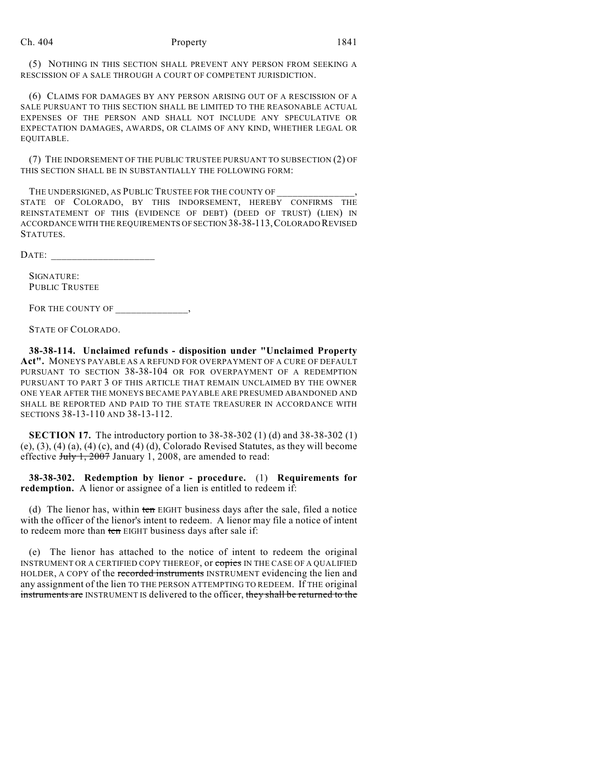(5) NOTHING IN THIS SECTION SHALL PREVENT ANY PERSON FROM SEEKING A RESCISSION OF A SALE THROUGH A COURT OF COMPETENT JURISDICTION.

(6) CLAIMS FOR DAMAGES BY ANY PERSON ARISING OUT OF A RESCISSION OF A SALE PURSUANT TO THIS SECTION SHALL BE LIMITED TO THE REASONABLE ACTUAL EXPENSES OF THE PERSON AND SHALL NOT INCLUDE ANY SPECULATIVE OR EXPECTATION DAMAGES, AWARDS, OR CLAIMS OF ANY KIND, WHETHER LEGAL OR EQUITABLE.

(7) THE INDORSEMENT OF THE PUBLIC TRUSTEE PURSUANT TO SUBSECTION (2) OF THIS SECTION SHALL BE IN SUBSTANTIALLY THE FOLLOWING FORM:

THE UNDERSIGNED, AS PUBLIC TRUSTEE FOR THE COUNTY OF STATE OF COLORADO, BY THIS INDORSEMENT, HEREBY CONFIRMS THE REINSTATEMENT OF THIS (EVIDENCE OF DEBT) (DEED OF TRUST) (LIEN) IN ACCORDANCE WITH THE REQUIREMENTS OF SECTION 38-38-113,COLORADO REVISED STATUTES.

 $\text{DATE:}$ 

SIGNATURE: PUBLIC TRUSTEE

FOR THE COUNTY OF \_\_\_\_\_\_\_\_\_\_\_\_\_\_,

STATE OF COLORADO.

**38-38-114. Unclaimed refunds - disposition under "Unclaimed Property Act".** MONEYS PAYABLE AS A REFUND FOR OVERPAYMENT OF A CURE OF DEFAULT PURSUANT TO SECTION 38-38-104 OR FOR OVERPAYMENT OF A REDEMPTION PURSUANT TO PART 3 OF THIS ARTICLE THAT REMAIN UNCLAIMED BY THE OWNER ONE YEAR AFTER THE MONEYS BECAME PAYABLE ARE PRESUMED ABANDONED AND SHALL BE REPORTED AND PAID TO THE STATE TREASURER IN ACCORDANCE WITH SECTIONS 38-13-110 AND 38-13-112.

**SECTION 17.** The introductory portion to 38-38-302 (1) (d) and 38-38-302 (1)  $(e), (3), (4), (4), (2), (4)$  (c), and  $(4), (4),$  Colorado Revised Statutes, as they will become effective July 1, 2007 January 1, 2008, are amended to read:

**38-38-302. Redemption by lienor - procedure.** (1) **Requirements for redemption.** A lienor or assignee of a lien is entitled to redeem if:

(d) The lienor has, within ten EIGHT business days after the sale, filed a notice with the officer of the lienor's intent to redeem. A lienor may file a notice of intent to redeem more than ten EIGHT business days after sale if:

(e) The lienor has attached to the notice of intent to redeem the original INSTRUMENT OR A CERTIFIED COPY THEREOF, or copies IN THE CASE OF A QUALIFIED HOLDER, A COPY of the recorded instruments INSTRUMENT evidencing the lien and any assignment of the lien TO THE PERSON ATTEMPTING TO REDEEM. If THE original instruments are INSTRUMENT IS delivered to the officer, they shall be returned to the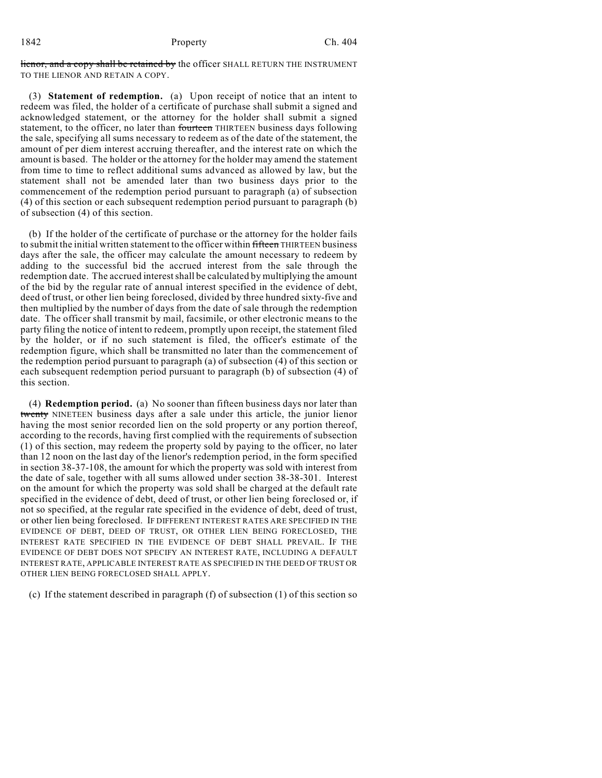lienor, and a copy shall be retained by the officer SHALL RETURN THE INSTRUMENT TO THE LIENOR AND RETAIN A COPY.

(3) **Statement of redemption.** (a) Upon receipt of notice that an intent to redeem was filed, the holder of a certificate of purchase shall submit a signed and acknowledged statement, or the attorney for the holder shall submit a signed statement, to the officer, no later than fourteen THIRTEEN business days following the sale, specifying all sums necessary to redeem as of the date of the statement, the amount of per diem interest accruing thereafter, and the interest rate on which the amount is based. The holder or the attorney for the holder may amend the statement from time to time to reflect additional sums advanced as allowed by law, but the statement shall not be amended later than two business days prior to the commencement of the redemption period pursuant to paragraph (a) of subsection (4) of this section or each subsequent redemption period pursuant to paragraph (b) of subsection (4) of this section.

(b) If the holder of the certificate of purchase or the attorney for the holder fails to submit the initial written statement to the officer within fifteen THIRTEEN business days after the sale, the officer may calculate the amount necessary to redeem by adding to the successful bid the accrued interest from the sale through the redemption date. The accrued interestshall be calculated by multiplying the amount of the bid by the regular rate of annual interest specified in the evidence of debt, deed of trust, or other lien being foreclosed, divided by three hundred sixty-five and then multiplied by the number of days from the date of sale through the redemption date. The officer shall transmit by mail, facsimile, or other electronic means to the party filing the notice of intent to redeem, promptly upon receipt, the statement filed by the holder, or if no such statement is filed, the officer's estimate of the redemption figure, which shall be transmitted no later than the commencement of the redemption period pursuant to paragraph (a) of subsection (4) of this section or each subsequent redemption period pursuant to paragraph (b) of subsection (4) of this section.

(4) **Redemption period.** (a) No sooner than fifteen business days nor later than twenty NINETEEN business days after a sale under this article, the junior lienor having the most senior recorded lien on the sold property or any portion thereof, according to the records, having first complied with the requirements of subsection (1) of this section, may redeem the property sold by paying to the officer, no later than 12 noon on the last day of the lienor's redemption period, in the form specified in section 38-37-108, the amount for which the property was sold with interest from the date of sale, together with all sums allowed under section 38-38-301. Interest on the amount for which the property was sold shall be charged at the default rate specified in the evidence of debt, deed of trust, or other lien being foreclosed or, if not so specified, at the regular rate specified in the evidence of debt, deed of trust, or other lien being foreclosed. IF DIFFERENT INTEREST RATES ARE SPECIFIED IN THE EVIDENCE OF DEBT, DEED OF TRUST, OR OTHER LIEN BEING FORECLOSED, THE INTEREST RATE SPECIFIED IN THE EVIDENCE OF DEBT SHALL PREVAIL. IF THE EVIDENCE OF DEBT DOES NOT SPECIFY AN INTEREST RATE, INCLUDING A DEFAULT INTEREST RATE, APPLICABLE INTEREST RATE AS SPECIFIED IN THE DEED OF TRUST OR OTHER LIEN BEING FORECLOSED SHALL APPLY.

(c) If the statement described in paragraph (f) of subsection (1) of this section so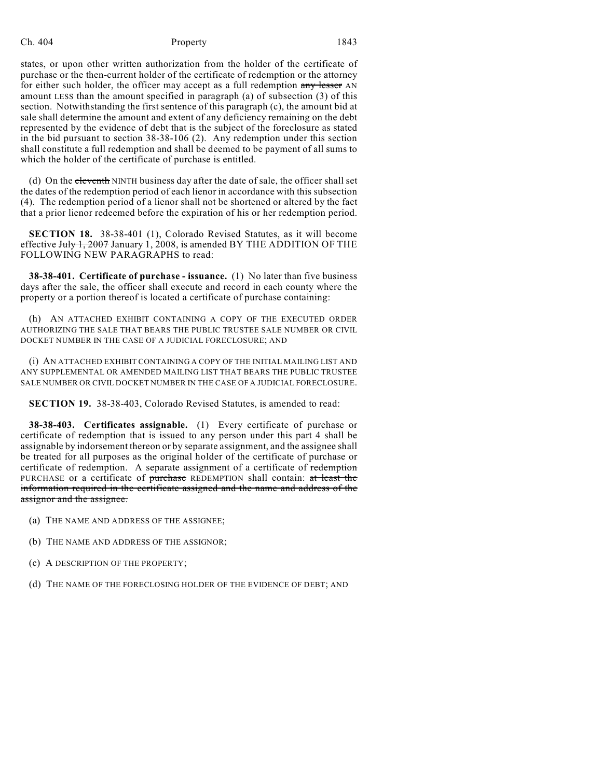### Ch. 404 **Property** Property 1843

states, or upon other written authorization from the holder of the certificate of purchase or the then-current holder of the certificate of redemption or the attorney for either such holder, the officer may accept as a full redemption any lesser AN amount LESS than the amount specified in paragraph (a) of subsection (3) of this section. Notwithstanding the first sentence of this paragraph (c), the amount bid at sale shall determine the amount and extent of any deficiency remaining on the debt represented by the evidence of debt that is the subject of the foreclosure as stated in the bid pursuant to section 38-38-106 (2). Any redemption under this section shall constitute a full redemption and shall be deemed to be payment of all sums to which the holder of the certificate of purchase is entitled.

(d) On the eleventh NINTH business day after the date of sale, the officer shall set the dates of the redemption period of each lienor in accordance with this subsection (4). The redemption period of a lienor shall not be shortened or altered by the fact that a prior lienor redeemed before the expiration of his or her redemption period.

**SECTION 18.** 38-38-401 (1), Colorado Revised Statutes, as it will become effective  $J_{\text{uly}}$  1, 2007 January 1, 2008, is amended BY THE ADDITION OF THE FOLLOWING NEW PARAGRAPHS to read:

**38-38-401. Certificate of purchase - issuance.** (1) No later than five business days after the sale, the officer shall execute and record in each county where the property or a portion thereof is located a certificate of purchase containing:

(h) AN ATTACHED EXHIBIT CONTAINING A COPY OF THE EXECUTED ORDER AUTHORIZING THE SALE THAT BEARS THE PUBLIC TRUSTEE SALE NUMBER OR CIVIL DOCKET NUMBER IN THE CASE OF A JUDICIAL FORECLOSURE; AND

(i) AN ATTACHED EXHIBIT CONTAINING A COPY OF THE INITIAL MAILING LIST AND ANY SUPPLEMENTAL OR AMENDED MAILING LIST THAT BEARS THE PUBLIC TRUSTEE SALE NUMBER OR CIVIL DOCKET NUMBER IN THE CASE OF A JUDICIAL FORECLOSURE.

**SECTION 19.** 38-38-403, Colorado Revised Statutes, is amended to read:

**38-38-403. Certificates assignable.** (1) Every certificate of purchase or certificate of redemption that is issued to any person under this part 4 shall be assignable by indorsement thereon or by separate assignment, and the assignee shall be treated for all purposes as the original holder of the certificate of purchase or certificate of redemption. A separate assignment of a certificate of redemption PURCHASE or a certificate of purchase REDEMPTION shall contain: at least the information required in the certificate assigned and the name and address of the assignor and the assignee.

- (a) THE NAME AND ADDRESS OF THE ASSIGNEE;
- (b) THE NAME AND ADDRESS OF THE ASSIGNOR;
- (c) A DESCRIPTION OF THE PROPERTY;
- (d) THE NAME OF THE FORECLOSING HOLDER OF THE EVIDENCE OF DEBT; AND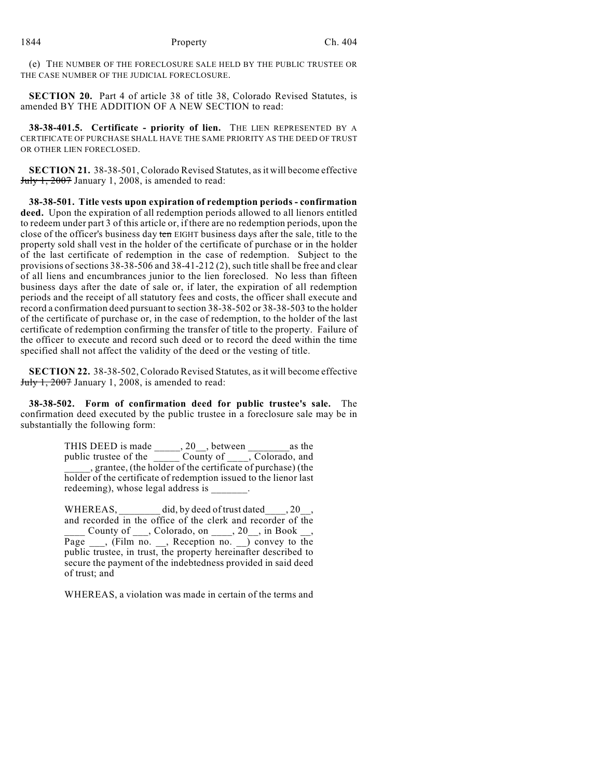(e) THE NUMBER OF THE FORECLOSURE SALE HELD BY THE PUBLIC TRUSTEE OR THE CASE NUMBER OF THE JUDICIAL FORECLOSURE.

**SECTION 20.** Part 4 of article 38 of title 38, Colorado Revised Statutes, is amended BY THE ADDITION OF A NEW SECTION to read:

**38-38-401.5. Certificate - priority of lien.** THE LIEN REPRESENTED BY A CERTIFICATE OF PURCHASE SHALL HAVE THE SAME PRIORITY AS THE DEED OF TRUST OR OTHER LIEN FORECLOSED.

**SECTION 21.** 38-38-501, Colorado Revised Statutes, as it will become effective  $July 1, 2007$  January 1, 2008, is amended to read:

**38-38-501. Title vests upon expiration of redemption periods - confirmation deed.** Upon the expiration of all redemption periods allowed to all lienors entitled to redeem under part 3 of this article or, if there are no redemption periods, upon the close of the officer's business day ten EIGHT business days after the sale, title to the property sold shall vest in the holder of the certificate of purchase or in the holder of the last certificate of redemption in the case of redemption. Subject to the provisions of sections 38-38-506 and 38-41-212 (2), such title shall be free and clear of all liens and encumbrances junior to the lien foreclosed. No less than fifteen business days after the date of sale or, if later, the expiration of all redemption periods and the receipt of all statutory fees and costs, the officer shall execute and record a confirmation deed pursuant to section 38-38-502 or 38-38-503 to the holder of the certificate of purchase or, in the case of redemption, to the holder of the last certificate of redemption confirming the transfer of title to the property. Failure of the officer to execute and record such deed or to record the deed within the time specified shall not affect the validity of the deed or the vesting of title.

**SECTION 22.** 38-38-502, Colorado Revised Statutes, as it will become effective  $July 1, 2007$  January 1, 2008, is amended to read:

**38-38-502. Form of confirmation deed for public trustee's sale.** The confirmation deed executed by the public trustee in a foreclosure sale may be in substantially the following form:

> THIS DEED is made \_\_\_\_\_, 20\_\_, between \_\_\_\_\_\_\_\_as the public trustee of the \_\_\_\_\_ County of \_\_\_\_, Colorado, and \_\_\_\_\_, grantee, (the holder of the certificate of purchase) (the holder of the certificate of redemption issued to the lienor last redeeming), whose legal address is

> WHEREAS, \_\_\_\_\_\_\_\_ did, by deed of trust dated \_\_\_, 20\_\_, and recorded in the office of the clerk and recorder of the County of  $\_\_$ , Colorado, on  $\_\_$ , 20 $\_\_$ , in Book  $\_\_$ Page , (Film no. , Reception no. ) convey to the public trustee, in trust, the property hereinafter described to secure the payment of the indebtedness provided in said deed of trust; and

> WHEREAS, a violation was made in certain of the terms and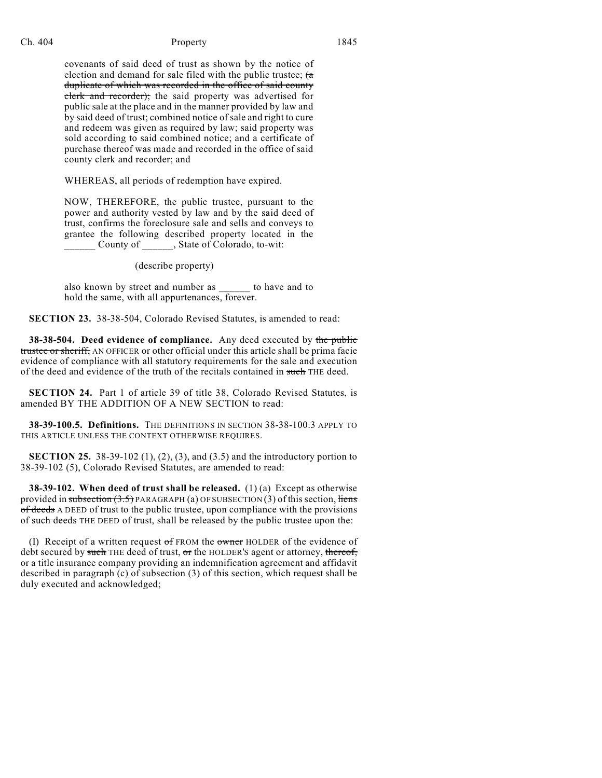# Ch. 404 **Property** Property 1845

covenants of said deed of trust as shown by the notice of election and demand for sale filed with the public trustee;  $(a$ duplicate of which was recorded in the office of said county elerk and recorder); the said property was advertised for public sale at the place and in the manner provided by law and by said deed of trust; combined notice of sale and right to cure and redeem was given as required by law; said property was sold according to said combined notice; and a certificate of purchase thereof was made and recorded in the office of said county clerk and recorder; and

WHEREAS, all periods of redemption have expired.

NOW, THEREFORE, the public trustee, pursuant to the power and authority vested by law and by the said deed of trust, confirms the foreclosure sale and sells and conveys to grantee the following described property located in the County of \_\_\_\_\_, State of Colorado, to-wit:

## (describe property)

also known by street and number as  $\qquad$  to have and to hold the same, with all appurtenances, forever.

**SECTION 23.** 38-38-504, Colorado Revised Statutes, is amended to read:

**38-38-504. Deed evidence of compliance.** Any deed executed by the public trustee or sheriff, AN OFFICER or other official under this article shall be prima facie evidence of compliance with all statutory requirements for the sale and execution of the deed and evidence of the truth of the recitals contained in such THE deed.

**SECTION 24.** Part 1 of article 39 of title 38, Colorado Revised Statutes, is amended BY THE ADDITION OF A NEW SECTION to read:

**38-39-100.5. Definitions.** THE DEFINITIONS IN SECTION 38-38-100.3 APPLY TO THIS ARTICLE UNLESS THE CONTEXT OTHERWISE REQUIRES.

**SECTION 25.** 38-39-102 (1), (2), (3), and (3.5) and the introductory portion to 38-39-102 (5), Colorado Revised Statutes, are amended to read:

**38-39-102. When deed of trust shall be released.** (1) (a) Except as otherwise provided in subsection  $(3.5)$  PARAGRAPH (a) OF SUBSECTION (3) of this section, liens of deeds A DEED of trust to the public trustee, upon compliance with the provisions of such deeds THE DEED of trust, shall be released by the public trustee upon the:

(I) Receipt of a written request  $of$  FROM the owner HOLDER of the evidence of debt secured by such THE deed of trust,  $\sigma$ r the HOLDER's agent or attorney, thereof, or a title insurance company providing an indemnification agreement and affidavit described in paragraph (c) of subsection (3) of this section, which request shall be duly executed and acknowledged;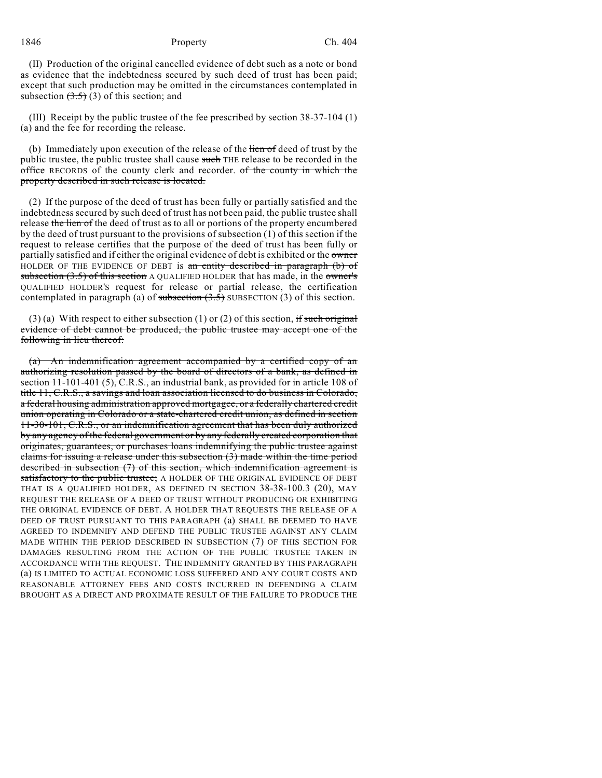(II) Production of the original cancelled evidence of debt such as a note or bond as evidence that the indebtedness secured by such deed of trust has been paid; except that such production may be omitted in the circumstances contemplated in subsection  $(3.5)$  (3) of this section; and

(III) Receipt by the public trustee of the fee prescribed by section 38-37-104 (1) (a) and the fee for recording the release.

(b) Immediately upon execution of the release of the lien of deed of trust by the public trustee, the public trustee shall cause such THE release to be recorded in the office RECORDS of the county clerk and recorder. of the county in which the property described in such release is located.

(2) If the purpose of the deed of trust has been fully or partially satisfied and the indebtedness secured by such deed of trust has not been paid, the public trustee shall release the lien of the deed of trust as to all or portions of the property encumbered by the deed of trust pursuant to the provisions of subsection (1) of this section if the request to release certifies that the purpose of the deed of trust has been fully or partially satisfied and if either the original evidence of debt is exhibited or the owner HOLDER OF THE EVIDENCE OF DEBT is an entity described in paragraph (b) of subsection  $(3.5)$  of this section A QUALIFIED HOLDER that has made, in the owner's QUALIFIED HOLDER'S request for release or partial release, the certification contemplated in paragraph (a) of subsection  $(3.5)$  SUBSECTION (3) of this section.

(3) (a) With respect to either subsection (1) or (2) of this section, if such original evidence of debt cannot be produced, the public trustee may accept one of the following in lieu thereof:

(a) An indemnification agreement accompanied by a certified copy of an authorizing resolution passed by the board of directors of a bank, as defined in section 11-101-401 (5), C.R.S., an industrial bank, as provided for in article 108 of title 11, C.R.S., a savings and loan association licensed to do business in Colorado, a federal housing administration approved mortgagee, or a federally chartered credit union operating in Colorado or a state-chartered credit union, as defined in section 11-30-101, C.R.S., or an indemnification agreement that has been duly authorized by any agency of the federal government or by any federally created corporation that originates, guarantees, or purchases loans indemnifying the public trustee against claims for issuing a release under this subsection (3) made within the time period described in subsection (7) of this section, which indemnification agreement is satisfactory to the public trustee; A HOLDER OF THE ORIGINAL EVIDENCE OF DEBT THAT IS A QUALIFIED HOLDER, AS DEFINED IN SECTION 38-38-100.3 (20), MAY REQUEST THE RELEASE OF A DEED OF TRUST WITHOUT PRODUCING OR EXHIBITING THE ORIGINAL EVIDENCE OF DEBT. A HOLDER THAT REQUESTS THE RELEASE OF A DEED OF TRUST PURSUANT TO THIS PARAGRAPH (a) SHALL BE DEEMED TO HAVE AGREED TO INDEMNIFY AND DEFEND THE PUBLIC TRUSTEE AGAINST ANY CLAIM MADE WITHIN THE PERIOD DESCRIBED IN SUBSECTION (7) OF THIS SECTION FOR DAMAGES RESULTING FROM THE ACTION OF THE PUBLIC TRUSTEE TAKEN IN ACCORDANCE WITH THE REQUEST. THE INDEMNITY GRANTED BY THIS PARAGRAPH (a) IS LIMITED TO ACTUAL ECONOMIC LOSS SUFFERED AND ANY COURT COSTS AND REASONABLE ATTORNEY FEES AND COSTS INCURRED IN DEFENDING A CLAIM BROUGHT AS A DIRECT AND PROXIMATE RESULT OF THE FAILURE TO PRODUCE THE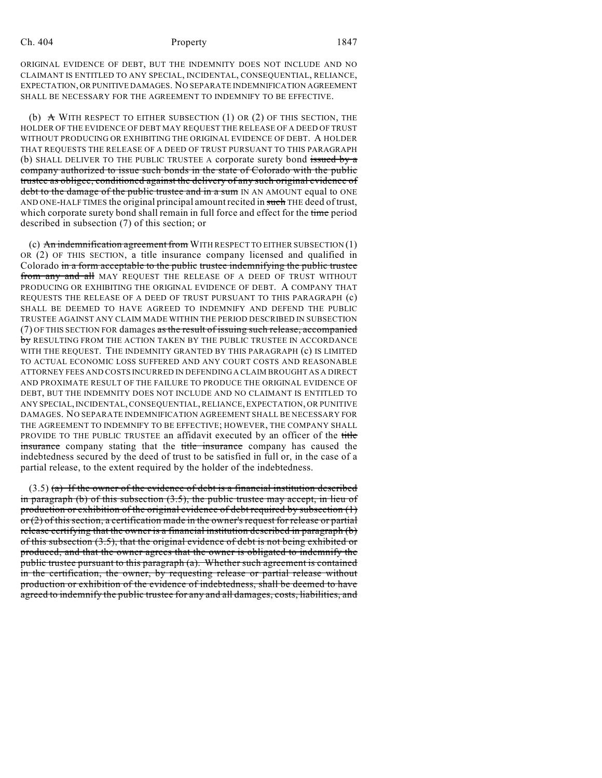#### Ch. 404 **Property** Property 1847

ORIGINAL EVIDENCE OF DEBT, BUT THE INDEMNITY DOES NOT INCLUDE AND NO CLAIMANT IS ENTITLED TO ANY SPECIAL, INCIDENTAL, CONSEQUENTIAL, RELIANCE, EXPECTATION, OR PUNITIVE DAMAGES. NO SEPARATE INDEMNIFICATION AGREEMENT SHALL BE NECESSARY FOR THE AGREEMENT TO INDEMNIFY TO BE EFFECTIVE.

(b)  $\land$  WITH RESPECT TO EITHER SUBSECTION (1) OR (2) OF THIS SECTION, THE HOLDER OF THE EVIDENCE OF DEBT MAY REQUEST THE RELEASE OF A DEED OF TRUST WITHOUT PRODUCING OR EXHIBITING THE ORIGINAL EVIDENCE OF DEBT. A HOLDER THAT REQUESTS THE RELEASE OF A DEED OF TRUST PURSUANT TO THIS PARAGRAPH (b) SHALL DELIVER TO THE PUBLIC TRUSTEE A corporate surety bond issued by a company authorized to issue such bonds in the state of Colorado with the public trustee as obligee, conditioned against the delivery of any such original evidence of debt to the damage of the public trustee and in a sum IN AN AMOUNT equal to ONE AND ONE-HALF TIMES the original principal amount recited in such THE deed of trust, which corporate surety bond shall remain in full force and effect for the time period described in subsection (7) of this section; or

(c) An indemnification agreement from WITH RESPECT TO EITHER SUBSECTION (1) OR (2) OF THIS SECTION, a title insurance company licensed and qualified in Colorado in a form acceptable to the public trustee indemnifying the public trustee from any and all MAY REQUEST THE RELEASE OF A DEED OF TRUST WITHOUT PRODUCING OR EXHIBITING THE ORIGINAL EVIDENCE OF DEBT. A COMPANY THAT REQUESTS THE RELEASE OF A DEED OF TRUST PURSUANT TO THIS PARAGRAPH (c) SHALL BE DEEMED TO HAVE AGREED TO INDEMNIFY AND DEFEND THE PUBLIC TRUSTEE AGAINST ANY CLAIM MADE WITHIN THE PERIOD DESCRIBED IN SUBSECTION (7) OF THIS SECTION FOR damages as the result of issuing such release, accompanied by RESULTING FROM THE ACTION TAKEN BY THE PUBLIC TRUSTEE IN ACCORDANCE WITH THE REQUEST. THE INDEMNITY GRANTED BY THIS PARAGRAPH (c) IS LIMITED TO ACTUAL ECONOMIC LOSS SUFFERED AND ANY COURT COSTS AND REASONABLE ATTORNEY FEES AND COSTS INCURRED IN DEFENDING A CLAIM BROUGHT AS A DIRECT AND PROXIMATE RESULT OF THE FAILURE TO PRODUCE THE ORIGINAL EVIDENCE OF DEBT, BUT THE INDEMNITY DOES NOT INCLUDE AND NO CLAIMANT IS ENTITLED TO ANY SPECIAL, INCIDENTAL, CONSEQUENTIAL, RELIANCE, EXPECTATION, OR PUNITIVE DAMAGES. NO SEPARATE INDEMNIFICATION AGREEMENT SHALL BE NECESSARY FOR THE AGREEMENT TO INDEMNIFY TO BE EFFECTIVE; HOWEVER, THE COMPANY SHALL PROVIDE TO THE PUBLIC TRUSTEE an affidavit executed by an officer of the title insurance company stating that the title insurance company has caused the indebtedness secured by the deed of trust to be satisfied in full or, in the case of a partial release, to the extent required by the holder of the indebtedness.

 $(3.5)$  (a) If the owner of the evidence of debt is a financial institution described in paragraph (b) of this subsection  $(3.5)$ , the public trustee may accept, in lieu of production or exhibition of the original evidence of debt required by subsection (1) or (2) of this section, a certification made in the owner's request for release or partial release certifying that the owner is a financial institution described in paragraph (b) of this subsection (3.5), that the original evidence of debt is not being exhibited or produced, and that the owner agrees that the owner is obligated to indemnify the public trustee pursuant to this paragraph (a). Whether such agreement is contained in the certification, the owner, by requesting release or partial release without production or exhibition of the evidence of indebtedness, shall be deemed to have agreed to indemnify the public trustee for any and all damages, costs, liabilities, and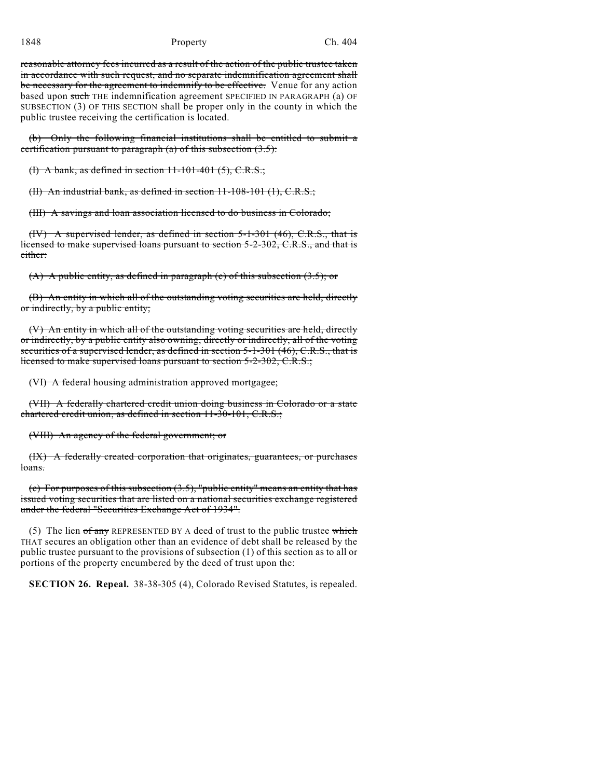reasonable attorney fees incurred as a result of the action of the public trustee taken in accordance with such request, and no separate indemnification agreement shall be necessary for the agreement to indemnify to be effective. Venue for any action based upon such THE indemnification agreement SPECIFIED IN PARAGRAPH (a) OF SUBSECTION (3) OF THIS SECTION shall be proper only in the county in which the public trustee receiving the certification is located.

(b) Only the following financial institutions shall be entitled to submit a certification pursuant to paragraph  $(a)$  of this subsection  $(3.5)$ :

(I) A bank, as defined in section  $11-101-401$  (5), C.R.S.;

(II) An industrial bank, as defined in section 11-108-101 (1), C.R.S.;

(III) A savings and loan association licensed to do business in Colorado;

(IV) A supervised lender, as defined in section 5-1-301 (46), C.R.S., that is licensed to make supervised loans pursuant to section 5-2-302, C.R.S., and that is either:

 $(A)$  A public entity, as defined in paragraph (c) of this subsection  $(3.5)$ ; or

(B) An entity in which all of the outstanding voting securities are held, directly or indirectly, by a public entity;

(V) An entity in which all of the outstanding voting securities are held, directly or indirectly, by a public entity also owning, directly or indirectly, all of the voting securities of a supervised lender, as defined in section 5-1-301 (46), C.R.S., that is licensed to make supervised loans pursuant to section 5-2-302, C.R.S.;

(VI) A federal housing administration approved mortgagee;

(VII) A federally chartered credit union doing business in Colorado or a state chartered credit union, as defined in section 11-30-101, C.R.S.;

(VIII) An agency of the federal government; or

(IX) A federally created corporation that originates, guarantees, or purchases loans.

(c) For purposes of this subsection (3.5), "public entity" means an entity that has issued voting securities that are listed on a national securities exchange registered under the federal "Securities Exchange Act of 1934".

(5) The lien  $of$  any REPRESENTED BY A deed of trust to the public trustee which THAT secures an obligation other than an evidence of debt shall be released by the public trustee pursuant to the provisions of subsection (1) of this section as to all or portions of the property encumbered by the deed of trust upon the:

**SECTION 26. Repeal.** 38-38-305 (4), Colorado Revised Statutes, is repealed.